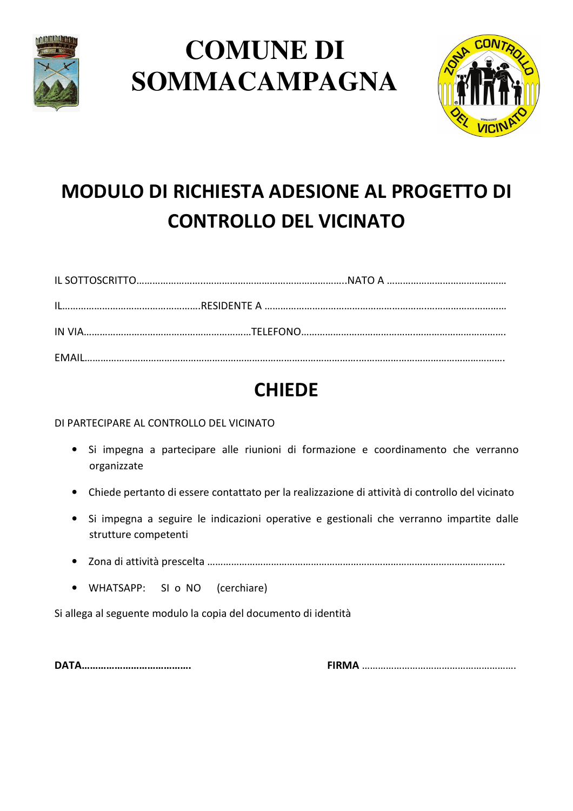

## **COMUNE DI SOMMACAMPAGNA**



## **MODULO DI RICHIESTA ADESIONE AL PROGETTO DI CONTROLLO DEL VICINATO**

## **CHIEDE**

DI PARTECIPARE AL CONTROLLO DEL VICINATO

- Si impegna a partecipare alle riunioni di formazione e coordinamento che verranno organizzate
- Chiede pertanto di essere contattato per la realizzazione di attività di controllo del vicinato
- Si impegna a seguire le indicazioni operative e gestionali che verranno impartite dalle strutture competenti
- 
- WHATSAPP: SI o NO (cerchiare)

Si allega al seguente modulo la copia del documento di identità